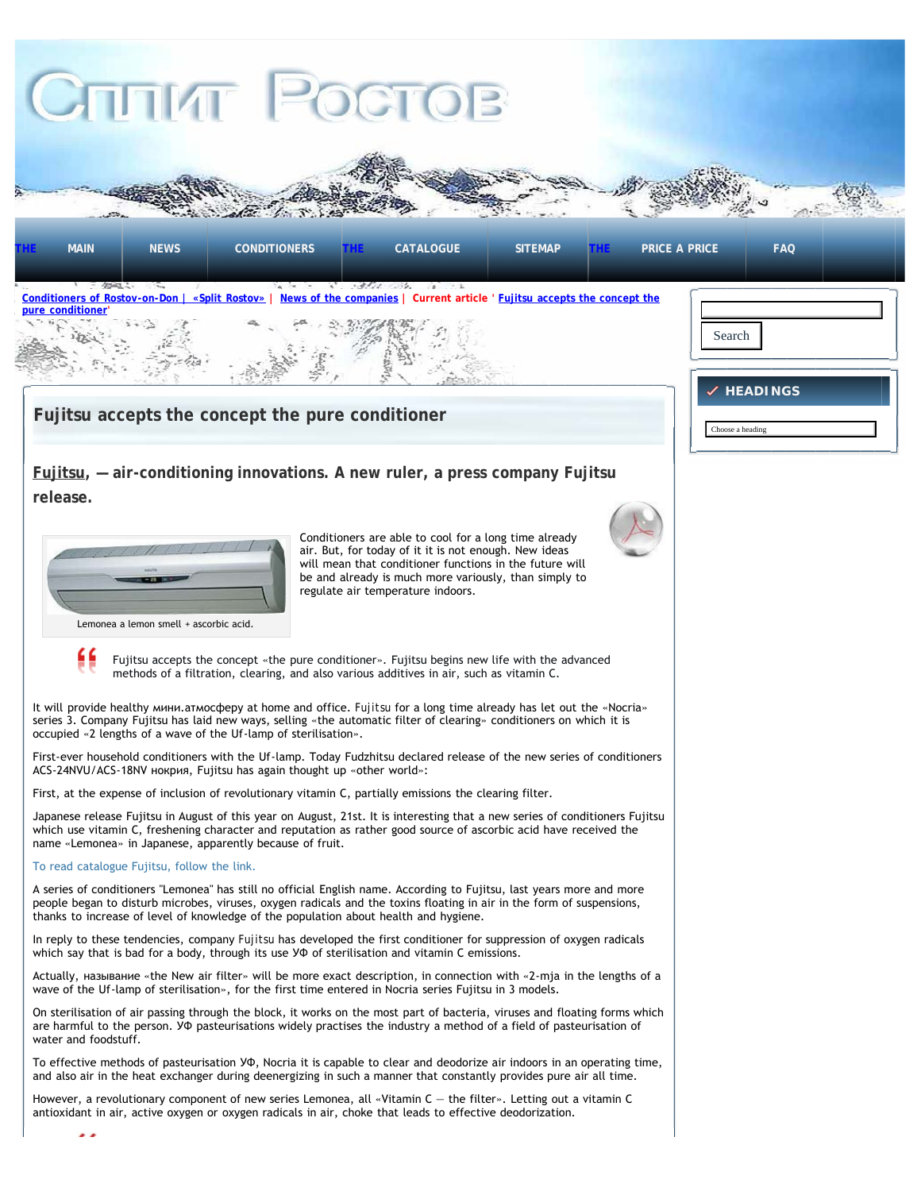